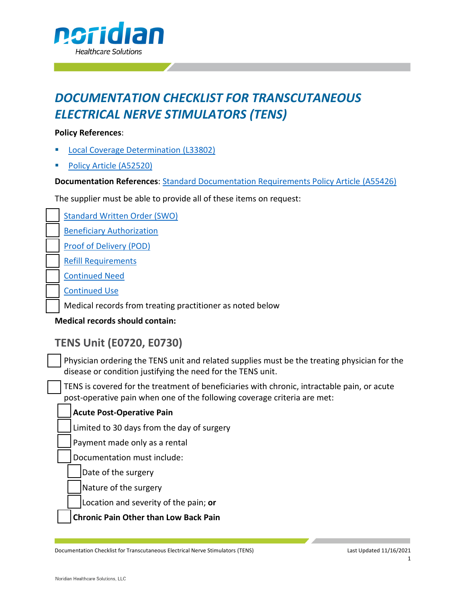

# *DOCUMENTATION CHECKLIST FOR TRANSCUTANEOUS ELECTRICAL NERVE STIMULATORS (TENS)*

#### **Policy References**:

- § [Local Coverage Determination](https://www.cms.gov/medicare-coverage-database/view/lcd.aspx?LCDId=33802) (L33802)
- § [Policy Article \(A52520\)](https://www.cms.gov/medicare-coverage-database/view/article.aspx?articleId=52520)

**Documentation References**: [Standard Documentation Requirements Policy Article \(A55426](https://www.cms.gov/medicare-coverage-database/details/article-details.aspx?articleid=55426))

The supplier must be able to provide all of these items on request:

[Standard Written Order \(SWO\)](https://www.cms.gov/medicare-coverage-database/details/article-details.aspx?articleid=55426)

[Beneficiary Authorization](https://med.noridianmedicare.com/web/jddme/topics/documentation/beneficiary-authorization)

[Proof of Delivery \(POD\)](https://www.cms.gov/medicare-coverage-database/details/article-details.aspx?articleid=55426)

[Refill Requirements](https://www.cms.gov/medicare-coverage-database/details/article-details.aspx?articleid=55426)

[Continued Need](https://www.cms.gov/medicare-coverage-database/details/article-details.aspx?articleid=55426)

[Continued Use](https://www.cms.gov/medicare-coverage-database/details/article-details.aspx?articleid=55426)

Medical records from treating practitioner as noted below

**Medical records should contain:** 

## **TENS Unit (E0720, E0730)**

Physician ordering the TENS unit and related supplies must be the treating physician for the disease or condition justifying the need for the TENS unit.

TENS is covered for the treatment of beneficiaries with chronic, intractable pain, or acute post-operative pain when one of the following coverage criteria are met:

### **Acute Post-Operative Pain**

Limited to 30 days from the day of surgery

Payment made only as a rental

Documentation must include:

Date of the surgery

Nature of the surgery

Location and severity of the pain; **or**

**Chronic Pain Other than Low Back Pain**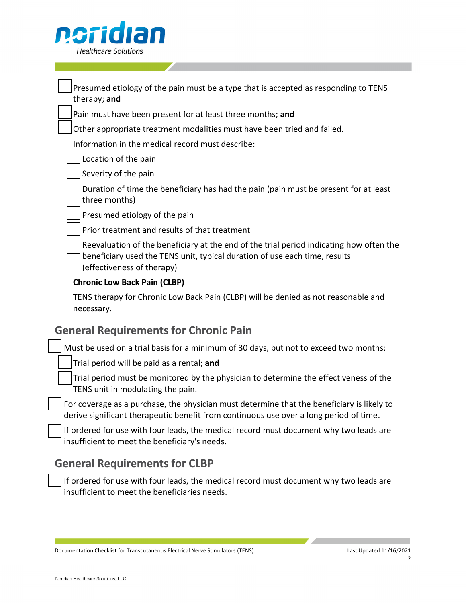

|  | Presumed etiology of the pain must be a type that is accepted as responding to TENS<br>therapy; and                                                                                                 |
|--|-----------------------------------------------------------------------------------------------------------------------------------------------------------------------------------------------------|
|  | Pain must have been present for at least three months; and                                                                                                                                          |
|  | Other appropriate treatment modalities must have been tried and failed.                                                                                                                             |
|  | Information in the medical record must describe:                                                                                                                                                    |
|  | Location of the pain                                                                                                                                                                                |
|  | Severity of the pain                                                                                                                                                                                |
|  | Duration of time the beneficiary has had the pain (pain must be present for at least<br>three months)                                                                                               |
|  | Presumed etiology of the pain                                                                                                                                                                       |
|  | Prior treatment and results of that treatment                                                                                                                                                       |
|  | Reevaluation of the beneficiary at the end of the trial period indicating how often the<br>beneficiary used the TENS unit, typical duration of use each time, results<br>(effectiveness of therapy) |
|  | <b>Chronic Low Back Pain (CLBP)</b>                                                                                                                                                                 |
|  | TENS therapy for Chronic Low Back Pain (CLBP) will be denied as not reasonable and<br>necessary.                                                                                                    |

## **General Requirements for Chronic Pain**

Must be used on a trial basis for a minimum of 30 days, but not to exceed two months:

Trial period will be paid as a rental; **and**

Trial period must be monitored by the physician to determine the effectiveness of the TENS unit in modulating the pain.

For coverage as a purchase, the physician must determine that the beneficiary is likely to derive significant therapeutic benefit from continuous use over a long period of time.

If ordered for use with four leads, the medical record must document why two leads are insufficient to meet the beneficiary's needs.

## **General Requirements for CLBP**

If ordered for use with four leads, the medical record must document why two leads are insufficient to meet the beneficiaries needs.

Documentation Checklist for Transcutaneous Electrical Nerve Stimulators (TENS) Last Updated 11/16/2021